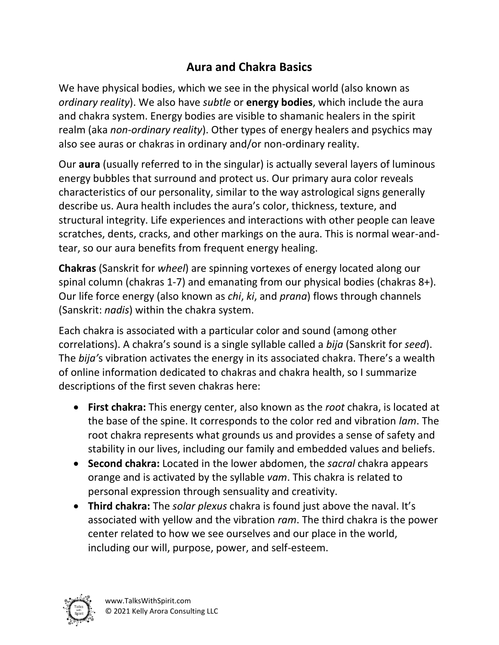## **Aura and Chakra Basics**

We have physical bodies, which we see in the physical world (also known as *ordinary reality*). We also have *subtle* or **energy bodies**, which include the aura and chakra system. Energy bodies are visible to shamanic healers in the spirit realm (aka *non-ordinary reality*). Other types of energy healers and psychics may also see auras or chakras in ordinary and/or non-ordinary reality.

Our **aura** (usually referred to in the singular) is actually several layers of luminous energy bubbles that surround and protect us. Our primary aura color reveals characteristics of our personality, similar to the way astrological signs generally describe us. Aura health includes the aura's color, thickness, texture, and structural integrity. Life experiences and interactions with other people can leave scratches, dents, cracks, and other markings on the aura. This is normal wear-andtear, so our aura benefits from frequent energy healing.

**Chakras** (Sanskrit for *wheel*) are spinning vortexes of energy located along our spinal column (chakras 1-7) and emanating from our physical bodies (chakras 8+). Our life force energy (also known as *chi*, *ki*, and *prana*) flows through channels (Sanskrit: *nadis*) within the chakra system.

Each chakra is associated with a particular color and sound (among other correlations). A chakra's sound is a single syllable called a *bija* (Sanskrit for *seed*). The *bija'*s vibration activates the energy in its associated chakra. There's a wealth of online information dedicated to chakras and chakra health, so I summarize descriptions of the first seven chakras here:

- **First chakra:** This energy center, also known as the *root* chakra, is located at the base of the spine. It corresponds to the color red and vibration *lam*. The root chakra represents what grounds us and provides a sense of safety and stability in our lives, including our family and embedded values and beliefs.
- **Second chakra:** Located in the lower abdomen, the *sacral* chakra appears orange and is activated by the syllable *vam*. This chakra is related to personal expression through sensuality and creativity.
- **Third chakra:** The *solar plexus* chakra is found just above the naval. It's associated with yellow and the vibration *ram*. The third chakra is the power center related to how we see ourselves and our place in the world, including our will, purpose, power, and self-esteem.